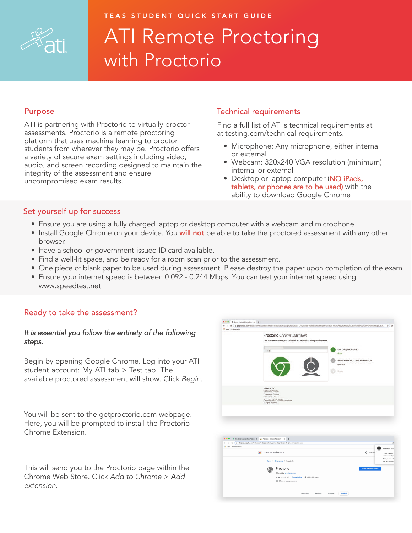

# TEAS STUDENT QUICK START GUIDE ATI Remote Proctoring with Proctorio

# Purpose

ATI is partnering with Proctorio to virtually proctor assessments. Proctorio is a remote proctoring platform that uses machine learning to proctor students from wherever they may be. Proctorio offers a variety of secure exam settings including video, audio, and screen recording designed to maintain the integrity of the assessment and ensure uncompromised exam results.

## Technical requirements

Find a full list of ATI's technical requirements at atitesting.com/technical-requirements.

- Microphone: Any microphone, either internal or external
- Webcam: 320x240 VGA resolution (minimum) internal or external
- Desktop or laptop computer (NO iPads, tablets, or phones are to be used) with the ability to download Google Chrome

# Set yourself up for success

- Ensure you are using a fully charged laptop or desktop computer with a webcam and microphone.
- Install Google Chrome on your device. You **will not** be able to take the proctored assessment with any other browser.
- Have a school or government-issued ID card available.
- Find a well-lit space, and be ready for a room scan prior to the assessment.
- One piece of blank paper to be used during assessment. Please destroy the paper upon completion of the exam.
- Ensure your internet speed is between 0.092 0.244 Mbps. You can test your internet speed using www.speedtest.net

# Ready to take the assessment?

### It is essential you follow the entirety of the following steps.

Begin by opening Google Chrome. Log into your ATI student account: My ATI tab > Test tab. The available proctored assessment will show. Click Begin.

You will be sent to the getproctorio.com webpage. Here, you will be prompted to install the Proctorio Chrome Extension.

This will send you to the Proctorio page within the Chrome Web Store. Click Add to Chrome > Add extension.



| a chrome.google.com/webstore/detail/proctorio/fpmapakogndmenjcfoajifazonnikpkej/related<br><b>III</b> Apps <b>EII</b> Bookmarks |                                                                                                                                                      |                                                                                 |
|---------------------------------------------------------------------------------------------------------------------------------|------------------------------------------------------------------------------------------------------------------------------------------------------|---------------------------------------------------------------------------------|
|                                                                                                                                 | chrome web store                                                                                                                                     | ¢<br>Proctorio has<br>森<br>allsonm<br>This loan will be y<br>on the current ga- |
|                                                                                                                                 | Home > Extensions > Proctorio                                                                                                                        | Manage your exter<br>the Window menu                                            |
|                                                                                                                                 | Proctorio<br>Offered by: proctorio.com<br>$\star\star\star\star\star\star$ 387   Accessibility   $\pm$ 400,000+ users<br><br>Offers in-app purchases | <b>Remove from Chrome</b>                                                       |
|                                                                                                                                 |                                                                                                                                                      |                                                                                 |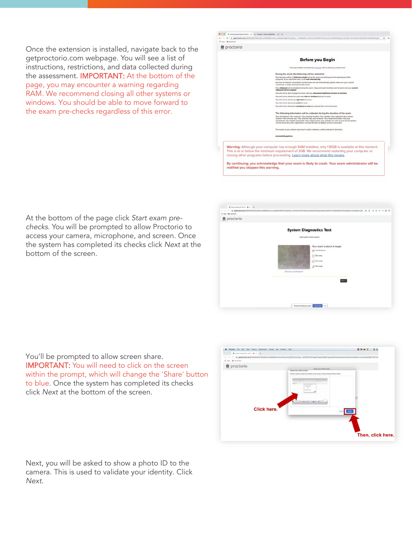Once the extension is installed, navigate back to the getproctorio.com webpage. You will see a list of instructions, restrictions, and data collected during the assessment. IMPORTANT: At the bottom of the page, you may encounter a warning regarding RAM. We recommend closing all other systems or windows. You should be able to move forward to the exam pre-checks regardless of this error.



At the bottom of the page click Start exam prechecks. You will be prompted to allow Proctorio to access your camera, microphone, and screen. Once the system has completed its checks click Next at the bottom of the screen.



You'll be prompted to allow screen share. IMPORTANT: You will need to click on the screen within the prompt, which will change the 'Share' button to blue. Once the system has completed its checks click Next at the bottom of the screen.



Next, you will be asked to show a photo ID to the camera. This is used to validate your identity. Click Next.